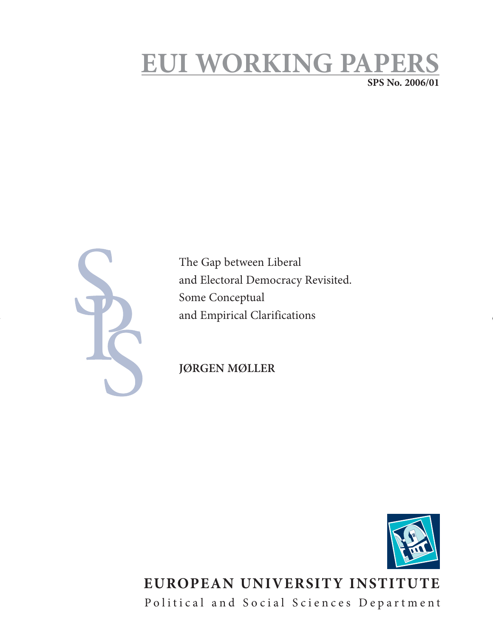# **EUI WORKING PAPERS SPS No. 2006/01**

The Gap between Liberal and Electoral Democracy Revisited. Some Conceptual and Empirical Clarifications

**JØRGEN MØLLER**



## **EUROPEAN UNIVERSITY INSTITUTE** Political and Social Sciences Department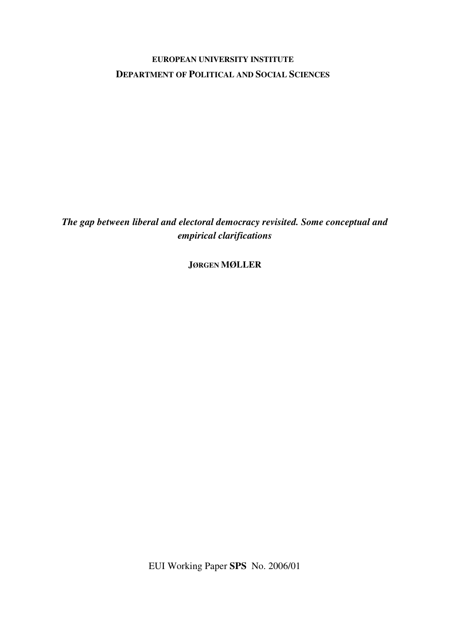## **EUROPEAN UNIVERSITY INSTITUTE DEPARTMENT OF POLITICAL AND SOCIAL SCIENCES**

*The gap between liberal and electoral democracy revisited. Some conceptual and empirical clarifications* 

**JØRGEN MØLLER**

EUI Working Paper **SPS** No. 2006/01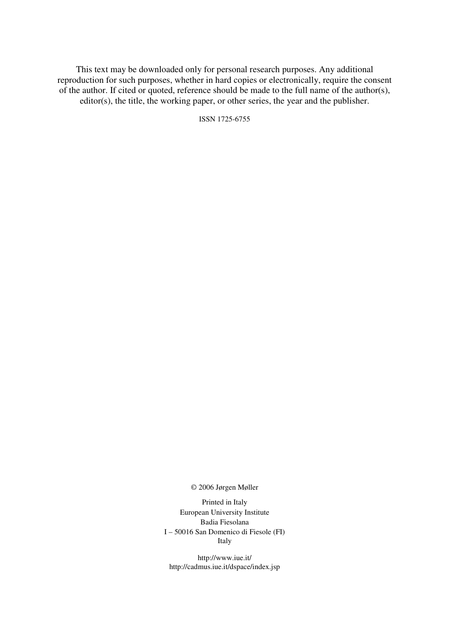This text may be downloaded only for personal research purposes. Any additional reproduction for such purposes, whether in hard copies or electronically, require the consent of the author. If cited or quoted, reference should be made to the full name of the author(s), editor(s), the title, the working paper, or other series, the year and the publisher.

ISSN 1725-6755

© 2006 Jørgen Møller

Printed in Italy European University Institute Badia Fiesolana I – 50016 San Domenico di Fiesole (FI) Italy

http://www.iue.it/ http://cadmus.iue.it/dspace/index.jsp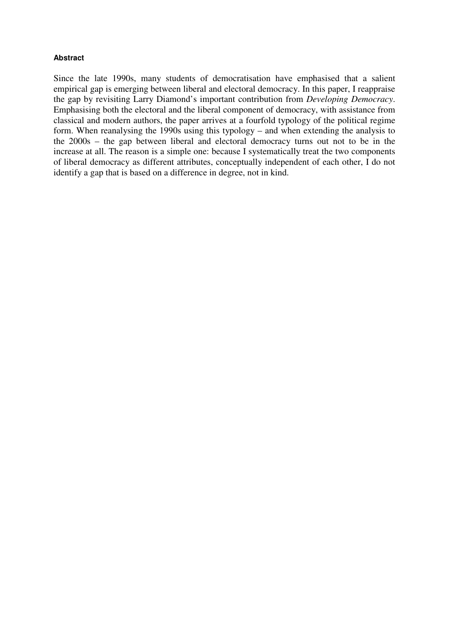## **Abstract**

Since the late 1990s, many students of democratisation have emphasised that a salient empirical gap is emerging between liberal and electoral democracy. In this paper, I reappraise the gap by revisiting Larry Diamond's important contribution from *Developing Democracy*. Emphasising both the electoral and the liberal component of democracy, with assistance from classical and modern authors, the paper arrives at a fourfold typology of the political regime form. When reanalysing the 1990s using this typology – and when extending the analysis to the 2000s – the gap between liberal and electoral democracy turns out not to be in the increase at all. The reason is a simple one: because I systematically treat the two components of liberal democracy as different attributes, conceptually independent of each other, I do not identify a gap that is based on a difference in degree, not in kind.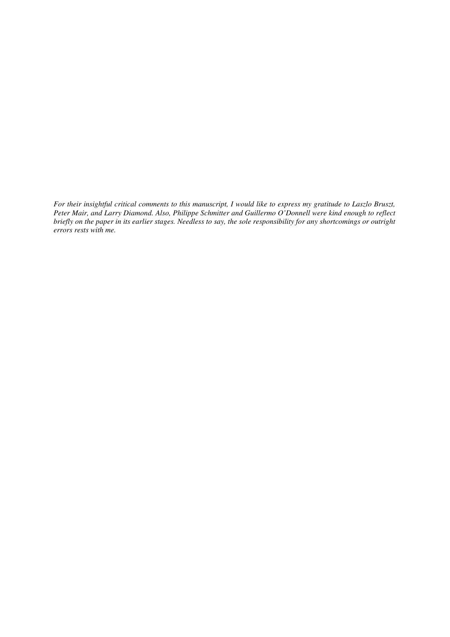*For their insightful critical comments to this manuscript, I would like to express my gratitude to Laszlo Bruszt, Peter Mair, and Larry Diamond. Also, Philippe Schmitter and Guillermo O'Donnell were kind enough to reflect briefly on the paper in its earlier stages. Needless to say, the sole responsibility for any shortcomings or outright errors rests with me.*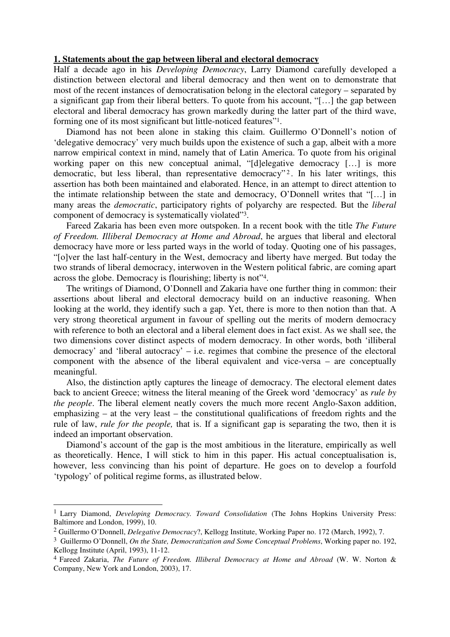## **1. Statements about the gap between liberal and electoral democracy**

Half a decade ago in his *Developing Democracy*, Larry Diamond carefully developed a distinction between electoral and liberal democracy and then went on to demonstrate that most of the recent instances of democratisation belong in the electoral category – separated by a significant gap from their liberal betters. To quote from his account, "[…] the gap between electoral and liberal democracy has grown markedly during the latter part of the third wave, forming one of its most significant but little-noticed features"1.

Diamond has not been alone in staking this claim. Guillermo O'Donnell's notion of 'delegative democracy' very much builds upon the existence of such a gap, albeit with a more narrow empirical context in mind, namely that of Latin America. To quote from his original working paper on this new conceptual animal, "[d]elegative democracy [...] is more democratic, but less liberal, than representative democracy"<sup>2</sup>. In his later writings, this assertion has both been maintained and elaborated. Hence, in an attempt to direct attention to the intimate relationship between the state and democracy, O'Donnell writes that "[…] in many areas the *democratic*, participatory rights of polyarchy are respected. But the *liberal* component of democracy is systematically violated"3.

Fareed Zakaria has been even more outspoken. In a recent book with the title *The Future of Freedom. Illiberal Democracy at Home and Abroad*, he argues that liberal and electoral democracy have more or less parted ways in the world of today. Quoting one of his passages, "[o]ver the last half-century in the West, democracy and liberty have merged. But today the two strands of liberal democracy, interwoven in the Western political fabric, are coming apart across the globe. Democracy is flourishing; liberty is not"4.

The writings of Diamond, O'Donnell and Zakaria have one further thing in common: their assertions about liberal and electoral democracy build on an inductive reasoning. When looking at the world, they identify such a gap. Yet, there is more to then notion than that. A very strong theoretical argument in favour of spelling out the merits of modern democracy with reference to both an electoral and a liberal element does in fact exist. As we shall see, the two dimensions cover distinct aspects of modern democracy. In other words, both 'illiberal democracy' and 'liberal autocracy' – i.e. regimes that combine the presence of the electoral component with the absence of the liberal equivalent and vice-versa – are conceptually meaningful.

Also, the distinction aptly captures the lineage of democracy. The electoral element dates back to ancient Greece; witness the literal meaning of the Greek word 'democracy' as *rule by the people*. The liberal element neatly covers the much more recent Anglo-Saxon addition, emphasizing – at the very least – the constitutional qualifications of freedom rights and the rule of law, *rule for the people,* that is. If a significant gap is separating the two, then it is indeed an important observation.

Diamond's account of the gap is the most ambitious in the literature, empirically as well as theoretically. Hence, I will stick to him in this paper. His actual conceptualisation is, however, less convincing than his point of departure. He goes on to develop a fourfold 'typology' of political regime forms, as illustrated below.

<sup>1</sup> Larry Diamond, *Developing Democracy. Toward Consolidation* (The Johns Hopkins University Press: Baltimore and London, 1999), 10.

<sup>2</sup> Guillermo O'Donnell, *Delegative Democracy*?, Kellogg Institute, Working Paper no. 172 (March, 1992), 7.

<sup>3</sup> Guillermo O'Donnell, *On the State, Democratization and Some Conceptual Problems*, Working paper no. 192, Kellogg Institute (April, 1993), 11-12.

<sup>4</sup> Fareed Zakaria, *The Future of Freedom. Illiberal Democracy at Home and Abroad* (W. W. Norton & Company, New York and London, 2003), 17.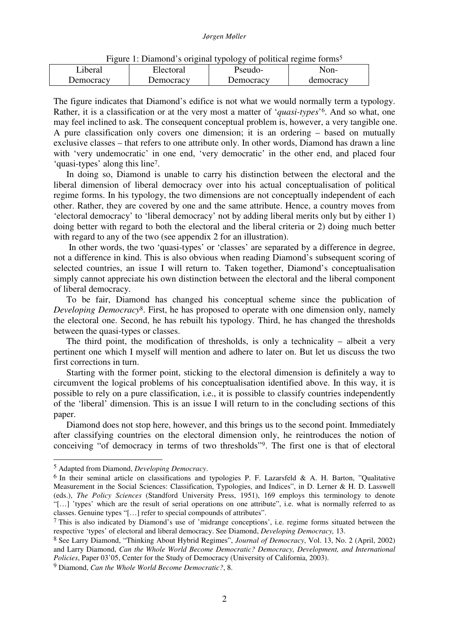|           | $\mathbf{r}$ is the complete that $\mathbf{r}$ and $\mathbf{r}$ are $\mathbf{r}$ and $\mathbf{r}$ and $\mathbf{r}$ and $\mathbf{r}$ |           |           |
|-----------|-------------------------------------------------------------------------------------------------------------------------------------|-----------|-----------|
| Liberal   | Electoral                                                                                                                           | Pseudo-   | Non-      |
| Democracy | Democracy                                                                                                                           | Democracy | democracv |

Figure 1: Diamond's original typology of political regime forms<sup>5</sup>

The figure indicates that Diamond's edifice is not what we would normally term a typology. Rather, it is a classification or at the very most a matter of '*quasi-types*' <sup>6</sup>. And so what, one may feel inclined to ask. The consequent conceptual problem is, however, a very tangible one. A pure classification only covers one dimension; it is an ordering – based on mutually exclusive classes – that refers to one attribute only. In other words, Diamond has drawn a line with 'very undemocratic' in one end, 'very democratic' in the other end, and placed four 'quasi-types' along this line7.

In doing so, Diamond is unable to carry his distinction between the electoral and the liberal dimension of liberal democracy over into his actual conceptualisation of political regime forms. In his typology, the two dimensions are not conceptually independent of each other. Rather, they are covered by one and the same attribute. Hence, a country moves from 'electoral democracy' to 'liberal democracy' not by adding liberal merits only but by either 1) doing better with regard to both the electoral and the liberal criteria or 2) doing much better with regard to any of the two (see appendix 2 for an illustration).

 In other words, the two 'quasi-types' or 'classes' are separated by a difference in degree, not a difference in kind. This is also obvious when reading Diamond's subsequent scoring of selected countries, an issue I will return to. Taken together, Diamond's conceptualisation simply cannot appreciate his own distinction between the electoral and the liberal component of liberal democracy.

To be fair, Diamond has changed his conceptual scheme since the publication of *Developing Democracy*8. First, he has proposed to operate with one dimension only, namely the electoral one. Second, he has rebuilt his typology. Third, he has changed the thresholds between the quasi-types or classes.

The third point, the modification of thresholds, is only a technicality – albeit a very pertinent one which I myself will mention and adhere to later on. But let us discuss the two first corrections in turn.

Starting with the former point, sticking to the electoral dimension is definitely a way to circumvent the logical problems of his conceptualisation identified above. In this way, it is possible to rely on a pure classification, i.e., it is possible to classify countries independently of the 'liberal' dimension. This is an issue I will return to in the concluding sections of this paper.

Diamond does not stop here, however, and this brings us to the second point. Immediately after classifying countries on the electoral dimension only, he reintroduces the notion of conceiving "of democracy in terms of two thresholds"9. The first one is that of electoral

<sup>5</sup> Adapted from Diamond, *Developing Democracy*.

 $6$  In their seminal article on classifications and typologies P. F. Lazarsfeld & A. H. Barton, "Qualitative Measurement in the Social Sciences: Classification, Typologies, and Indices", in D. Lerner & H. D. Lasswell (eds.), *The Policy Sciences* (Standford University Press, 1951), 169 employs this terminology to denote "[…] 'types' which are the result of serial operations on one attribute", i.e. what is normally referred to as classes. Genuine types "[…] refer to special compounds of attributes".

 $7$  This is also indicated by Diamond's use of 'midrange conceptions', i.e. regime forms situated between the respective 'types' of electoral and liberal democracy. See Diamond, *Developing Democracy,* 13.

<sup>8</sup> See Larry Diamond, "Thinking About Hybrid Regimes", *Journal of Democracy*, Vol. 13, No. 2 (April, 2002) and Larry Diamond, *Can the Whole World Become Democratic? Democracy, Development, and International Policies*, Paper 03'05, Center for the Study of Democracy (University of California, 2003).

<sup>9</sup> Diamond, *Can the Whole World Become Democratic?*, 8.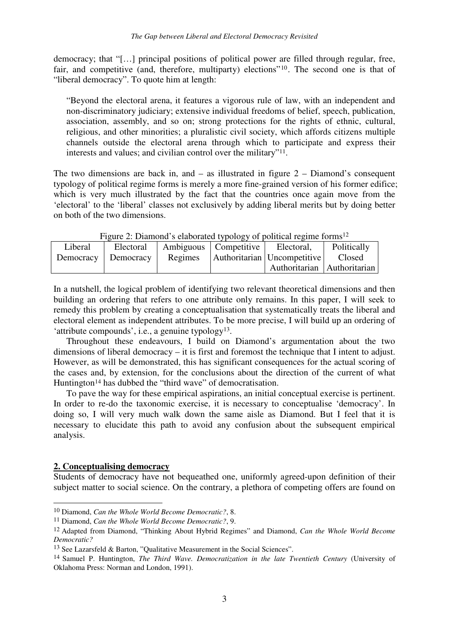democracy; that "[…] principal positions of political power are filled through regular, free, fair, and competitive (and, therefore, multiparty) elections"10. The second one is that of "liberal democracy". To quote him at length:

"Beyond the electoral arena, it features a vigorous rule of law, with an independent and non-discriminatory judiciary; extensive individual freedoms of belief, speech, publication, association, assembly, and so on; strong protections for the rights of ethnic, cultural, religious, and other minorities; a pluralistic civil society, which affords citizens multiple channels outside the electoral arena through which to participate and express their interests and values; and civilian control over the military"11.

The two dimensions are back in, and  $-$  as illustrated in figure  $2 -$  Diamond's consequent typology of political regime forms is merely a more fine-grained version of his former edifice; which is very much illustrated by the fact that the countries once again move from the 'electoral' to the 'liberal' classes not exclusively by adding liberal merits but by doing better on both of the two dimensions.

| $\Gamma$ iguie 2. Diamond s elaborated typology of political regime forms <sup>22</sup> |           |         |                                  |                               |             |  |
|-----------------------------------------------------------------------------------------|-----------|---------|----------------------------------|-------------------------------|-------------|--|
| Liberal                                                                                 | Electoral |         | Ambiguous Competitive Electoral, |                               | Politically |  |
| Democracy   Democracy                                                                   |           | Regimes |                                  | Authoritarian Uncompetitive   | Closed      |  |
|                                                                                         |           |         |                                  | Authoritarian   Authoritarian |             |  |

Figure 2: Diamond's elaborated typology of political regime forms<sup>12</sup>

In a nutshell, the logical problem of identifying two relevant theoretical dimensions and then building an ordering that refers to one attribute only remains. In this paper, I will seek to remedy this problem by creating a conceptualisation that systematically treats the liberal and electoral element as independent attributes. To be more precise, I will build up an ordering of 'attribute compounds', i.e., a genuine typology13.

Throughout these endeavours, I build on Diamond's argumentation about the two dimensions of liberal democracy – it is first and foremost the technique that I intent to adjust. However, as will be demonstrated, this has significant consequences for the actual scoring of the cases and, by extension, for the conclusions about the direction of the current of what Huntington<sup>14</sup> has dubbed the "third wave" of democratisation.

To pave the way for these empirical aspirations, an initial conceptual exercise is pertinent. In order to re-do the taxonomic exercise, it is necessary to conceptualise 'democracy'. In doing so, I will very much walk down the same aisle as Diamond. But I feel that it is necessary to elucidate this path to avoid any confusion about the subsequent empirical analysis.

### **2. Conceptualising democracy**

-

Students of democracy have not bequeathed one, uniformly agreed-upon definition of their subject matter to social science. On the contrary, a plethora of competing offers are found on

<sup>10</sup> Diamond, *Can the Whole World Become Democratic?*, 8.

<sup>11</sup> Diamond, *Can the Whole World Become Democratic?*, 9.

<sup>12</sup> Adapted from Diamond, "Thinking About Hybrid Regimes" and Diamond, *Can the Whole World Become Democratic?*

<sup>13</sup> See Lazarsfeld & Barton, "Qualitative Measurement in the Social Sciences".

<sup>14</sup> Samuel P. Huntington, *The Third Wave. Democratization in the late Twentieth Century* (University of Oklahoma Press: Norman and London, 1991).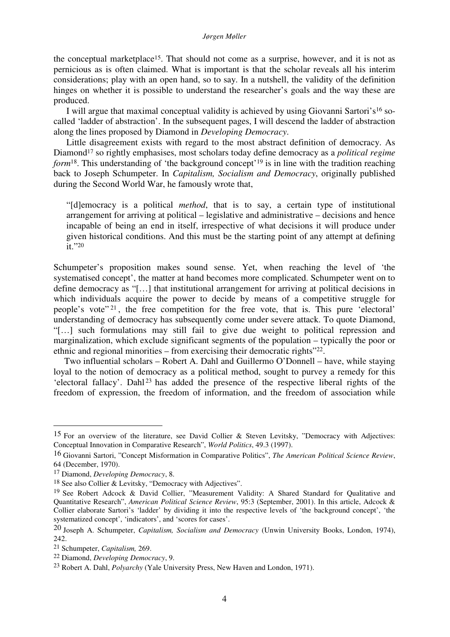#### *Jørgen Møller*

the conceptual marketplace15. That should not come as a surprise, however, and it is not as pernicious as is often claimed. What is important is that the scholar reveals all his interim considerations; play with an open hand, so to say. In a nutshell, the validity of the definition hinges on whether it is possible to understand the researcher's goals and the way these are produced.

I will argue that maximal conceptual validity is achieved by using Giovanni Sartori's16 socalled 'ladder of abstraction'. In the subsequent pages, I will descend the ladder of abstraction along the lines proposed by Diamond in *Developing Democracy*.

Little disagreement exists with regard to the most abstract definition of democracy. As Diamond<sup>17</sup> so rightly emphasises, most scholars today define democracy as a *political regime form*<sup>18</sup>. This understanding of 'the background concept'<sup>19</sup> is in line with the tradition reaching back to Joseph Schumpeter. In *Capitalism, Socialism and Democracy*, originally published during the Second World War, he famously wrote that,

"[d]emocracy is a political *method*, that is to say, a certain type of institutional arrangement for arriving at political – legislative and administrative – decisions and hence incapable of being an end in itself, irrespective of what decisions it will produce under given historical conditions. And this must be the starting point of any attempt at defining it."<sup>20</sup>

Schumpeter's proposition makes sound sense. Yet, when reaching the level of 'the systematised concept', the matter at hand becomes more complicated. Schumpeter went on to define democracy as "[…] that institutional arrangement for arriving at political decisions in which individuals acquire the power to decide by means of a competitive struggle for people's vote" <sup>21</sup> , the free competition for the free vote, that is. This pure 'electoral' understanding of democracy has subsequently come under severe attack. To quote Diamond, "[…] such formulations may still fail to give due weight to political repression and marginalization, which exclude significant segments of the population – typically the poor or ethnic and regional minorities – from exercising their democratic rights"22.

Two influential scholars – Robert A. Dahl and Guillermo O'Donnell – have, while staying loyal to the notion of democracy as a political method, sought to purvey a remedy for this 'electoral fallacy'. Dahl<sup>23</sup> has added the presence of the respective liberal rights of the freedom of expression, the freedom of information, and the freedom of association while

<sup>15</sup> For an overview of the literature, see David Collier & Steven Levitsky, "Democracy with Adjectives: Conceptual Innovation in Comparative Research", *World Politics*, 49.3 (1997).

<sup>16</sup> Giovanni Sartori, "Concept Misformation in Comparative Politics", *The American Political Science Review*, 64 (December, 1970).

<sup>17</sup> Diamond, *Developing Democracy*, 8.

<sup>18</sup> See also Collier & Levitsky, "Democracy with Adjectives".

<sup>&</sup>lt;sup>19</sup> See Robert Adcock & David Collier, "Measurement Validity: A Shared Standard for Qualitative and Quantitative Research", *American Political Science Review*, 95:3 (September, 2001). In this article, Adcock & Collier elaborate Sartori's 'ladder' by dividing it into the respective levels of 'the background concept', 'the systematized concept', 'indicators', and 'scores for cases'.

<sup>20</sup> Joseph A. Schumpeter, *Capitalism, Socialism and Democracy* (Unwin University Books, London, 1974), 242.

<sup>21</sup> Schumpeter, *Capitalism,* 269.

<sup>22</sup> Diamond, *Developing Democracy*, 9.

<sup>23</sup> Robert A. Dahl, *Polyarchy* (Yale University Press, New Haven and London, 1971).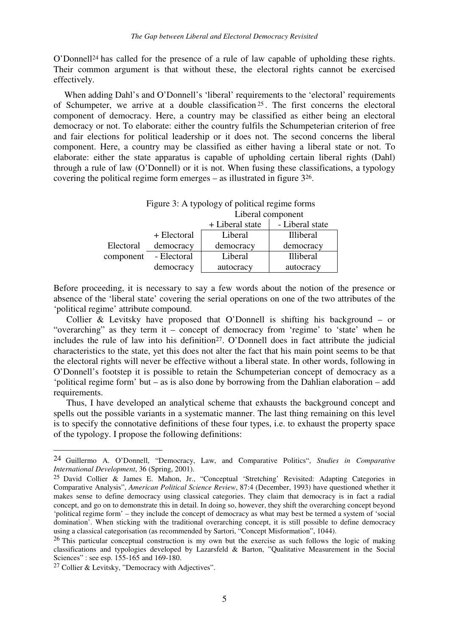O'Donnell24 has called for the presence of a rule of law capable of upholding these rights. Their common argument is that without these, the electoral rights cannot be exercised effectively.

When adding Dahl's and O'Donnell's 'liberal' requirements to the 'electoral' requirements of Schumpeter, we arrive at a double classification <sup>25</sup> . The first concerns the electoral component of democracy. Here, a country may be classified as either being an electoral democracy or not. To elaborate: either the country fulfils the Schumpeterian criterion of free and fair elections for political leadership or it does not. The second concerns the liberal component. Here, a country may be classified as either having a liberal state or not. To elaborate: either the state apparatus is capable of upholding certain liberal rights (Dahl) through a rule of law (O'Donnell) or it is not. When fusing these classifications, a typology covering the political regime form emerges – as illustrated in figure 326.

|           | Figure 3: A typology of political regime forms |           |                  |  |  |
|-----------|------------------------------------------------|-----------|------------------|--|--|
|           | Liberal component                              |           |                  |  |  |
|           | - Liberal state<br>+ Liberal state             |           |                  |  |  |
|           | + Electoral                                    | Liberal   | <b>Illiberal</b> |  |  |
| Electoral | democracy                                      | democracy | democracy        |  |  |
| component | - Electoral                                    | Liberal   | <b>Illiberal</b> |  |  |
|           | democracy                                      | autocracy | autocracy        |  |  |

Before proceeding, it is necessary to say a few words about the notion of the presence or absence of the 'liberal state' covering the serial operations on one of the two attributes of the 'political regime' attribute compound.

Collier & Levitsky have proposed that O'Donnell is shifting his background – or "overarching" as they term it – concept of democracy from 'regime' to 'state' when he includes the rule of law into his definition<sup>27</sup>. O'Donnell does in fact attribute the judicial characteristics to the state, yet this does not alter the fact that his main point seems to be that the electoral rights will never be effective without a liberal state. In other words, following in O'Donnell's footstep it is possible to retain the Schumpeterian concept of democracy as a 'political regime form' but – as is also done by borrowing from the Dahlian elaboration – add requirements.

Thus, I have developed an analytical scheme that exhausts the background concept and spells out the possible variants in a systematic manner. The last thing remaining on this level is to specify the connotative definitions of these four types, i.e. to exhaust the property space of the typology. I propose the following definitions:

<sup>24</sup> Guillermo A. O'Donnell, "Democracy, Law, and Comparative Politics", *Studies in Comparative International Development*, 36 (Spring, 2001).

<sup>25</sup> David Collier & James E. Mahon, Jr., "Conceptual 'Stretching' Revisited: Adapting Categories in Comparative Analysis", *American Political Science Review*, 87:4 (December, 1993) have questioned whether it makes sense to define democracy using classical categories. They claim that democracy is in fact a radial concept, and go on to demonstrate this in detail. In doing so, however, they shift the overarching concept beyond 'political regime form' – they include the concept of democracy as what may best be termed a system of 'social domination'. When sticking with the traditional overarching concept, it is still possible to define democracy using a classical categorisation (as recommended by Sartori, "Concept Misformation", 1044).

<sup>&</sup>lt;sup>26</sup> This particular conceptual construction is my own but the exercise as such follows the logic of making classifications and typologies developed by Lazarsfeld & Barton, "Qualitative Measurement in the Social Sciences" : see esp. 155-165 and 169-180.

<sup>27</sup> Collier & Levitsky, "Democracy with Adjectives".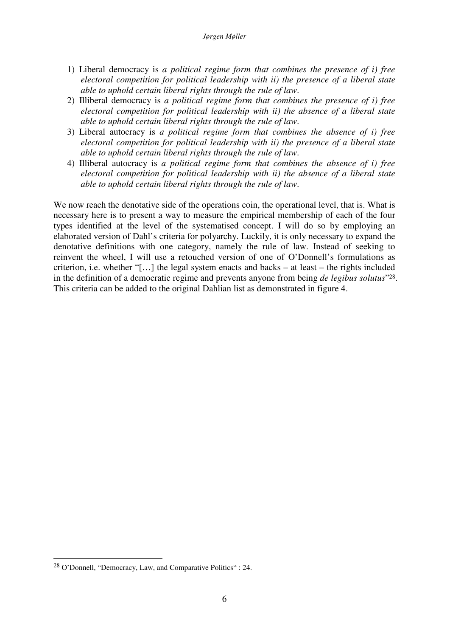- 1) Liberal democracy is *a political regime form that combines the presence of i) free electoral competition for political leadership with ii) the presence of a liberal state able to uphold certain liberal rights through the rule of law*.
- 2) Illiberal democracy is *a political regime form that combines the presence of i) free electoral competition for political leadership with ii) the absence of a liberal state able to uphold certain liberal rights through the rule of law*.
- 3) Liberal autocracy is *a political regime form that combines the absence of i) free electoral competition for political leadership with ii) the presence of a liberal state able to uphold certain liberal rights through the rule of law*.
- 4) Illiberal autocracy is *a political regime form that combines the absence of i) free electoral competition for political leadership with ii) the absence of a liberal state able to uphold certain liberal rights through the rule of law*.

We now reach the denotative side of the operations coin, the operational level, that is. What is necessary here is to present a way to measure the empirical membership of each of the four types identified at the level of the systematised concept. I will do so by employing an elaborated version of Dahl's criteria for polyarchy. Luckily, it is only necessary to expand the denotative definitions with one category, namely the rule of law. Instead of seeking to reinvent the wheel, I will use a retouched version of one of O'Donnell's formulations as criterion, i.e. whether "[…] the legal system enacts and backs – at least – the rights included in the definition of a democratic regime and prevents anyone from being *de legibus solutus*" <sup>28</sup>. This criteria can be added to the original Dahlian list as demonstrated in figure 4.

<sup>28</sup> O'Donnell, "Democracy, Law, and Comparative Politics" : 24.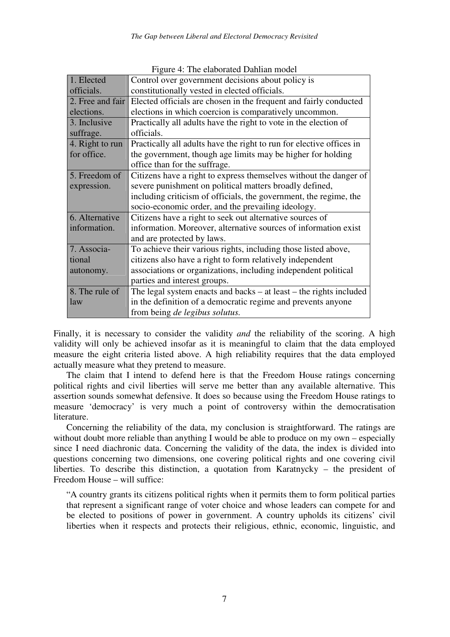|                  | $\frac{1}{2}$ is the end of and $\frac{1}{2}$ and $\frac{1}{2}$ in $\frac{1}{2}$ |
|------------------|----------------------------------------------------------------------------------|
| 1. Elected       | Control over government decisions about policy is                                |
| officials.       | constitutionally vested in elected officials.                                    |
| 2. Free and fair | Elected officials are chosen in the frequent and fairly conducted                |
| elections.       | elections in which coercion is comparatively uncommon.                           |
| 3. Inclusive     | Practically all adults have the right to vote in the election of                 |
| suffrage.        | officials.                                                                       |
| 4. Right to run  | Practically all adults have the right to run for elective offices in             |
| for office.      | the government, though age limits may be higher for holding                      |
|                  | office than for the suffrage.                                                    |
| 5. Freedom of    | Citizens have a right to express themselves without the danger of                |
| expression.      | severe punishment on political matters broadly defined,                          |
|                  | including criticism of officials, the government, the regime, the                |
|                  | socio-economic order, and the prevailing ideology.                               |
| 6. Alternative   | Citizens have a right to seek out alternative sources of                         |
| information.     | information. Moreover, alternative sources of information exist                  |
|                  | and are protected by laws.                                                       |
| 7. Associa-      | To achieve their various rights, including those listed above,                   |
| tional           | citizens also have a right to form relatively independent                        |
| autonomy.        | associations or organizations, including independent political                   |
|                  | parties and interest groups.                                                     |
| 8. The rule of   | The legal system enacts and backs $-$ at least $-$ the rights included           |
| law              | in the definition of a democratic regime and prevents anyone                     |
|                  | from being <i>de legibus solutus</i> .                                           |

Figure 4: The elaborated Dahlian model

Finally, it is necessary to consider the validity *and* the reliability of the scoring. A high validity will only be achieved insofar as it is meaningful to claim that the data employed measure the eight criteria listed above. A high reliability requires that the data employed actually measure what they pretend to measure.

The claim that I intend to defend here is that the Freedom House ratings concerning political rights and civil liberties will serve me better than any available alternative. This assertion sounds somewhat defensive. It does so because using the Freedom House ratings to measure 'democracy' is very much a point of controversy within the democratisation literature.

Concerning the reliability of the data, my conclusion is straightforward. The ratings are without doubt more reliable than anything I would be able to produce on my own – especially since I need diachronic data. Concerning the validity of the data, the index is divided into questions concerning two dimensions, one covering political rights and one covering civil liberties. To describe this distinction, a quotation from Karatnycky – the president of Freedom House – will suffice:

"A country grants its citizens political rights when it permits them to form political parties that represent a significant range of voter choice and whose leaders can compete for and be elected to positions of power in government. A country upholds its citizens' civil liberties when it respects and protects their religious, ethnic, economic, linguistic, and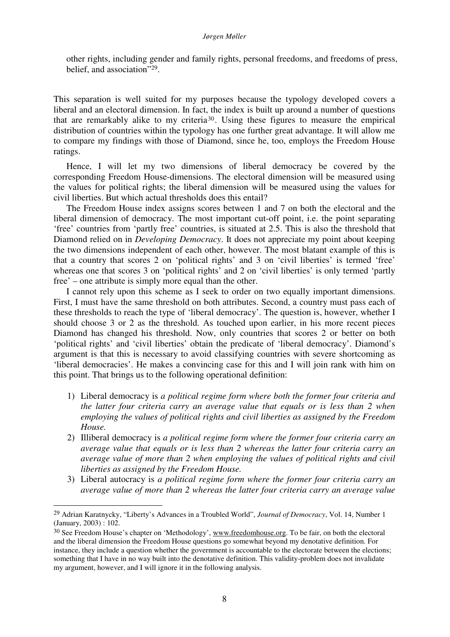#### *Jørgen Møller*

other rights, including gender and family rights, personal freedoms, and freedoms of press, belief, and association"29.

This separation is well suited for my purposes because the typology developed covers a liberal and an electoral dimension. In fact, the index is built up around a number of questions that are remarkably alike to my criteria30. Using these figures to measure the empirical distribution of countries within the typology has one further great advantage. It will allow me to compare my findings with those of Diamond, since he, too, employs the Freedom House ratings.

Hence, I will let my two dimensions of liberal democracy be covered by the corresponding Freedom House-dimensions. The electoral dimension will be measured using the values for political rights; the liberal dimension will be measured using the values for civil liberties. But which actual thresholds does this entail?

The Freedom House index assigns scores between 1 and 7 on both the electoral and the liberal dimension of democracy. The most important cut-off point, i.e. the point separating 'free' countries from 'partly free' countries, is situated at 2.5. This is also the threshold that Diamond relied on in *Developing Democracy*. It does not appreciate my point about keeping the two dimensions independent of each other, however. The most blatant example of this is that a country that scores 2 on 'political rights' and 3 on 'civil liberties' is termed 'free' whereas one that scores 3 on 'political rights' and 2 on 'civil liberties' is only termed 'partly free' – one attribute is simply more equal than the other.

I cannot rely upon this scheme as I seek to order on two equally important dimensions. First, I must have the same threshold on both attributes. Second, a country must pass each of these thresholds to reach the type of 'liberal democracy'. The question is, however, whether I should choose 3 or 2 as the threshold. As touched upon earlier, in his more recent pieces Diamond has changed his threshold. Now, only countries that scores 2 or better on both 'political rights' and 'civil liberties' obtain the predicate of 'liberal democracy'. Diamond's argument is that this is necessary to avoid classifying countries with severe shortcoming as 'liberal democracies'. He makes a convincing case for this and I will join rank with him on this point. That brings us to the following operational definition:

- 1) Liberal democracy is *a political regime form where both the former four criteria and the latter four criteria carry an average value that equals or is less than 2 when employing the values of political rights and civil liberties as assigned by the Freedom House.*
- 2) Illiberal democracy is *a political regime form where the former four criteria carry an average value that equals or is less than 2 whereas the latter four criteria carry an average value of more than 2 when employing the values of political rights and civil liberties as assigned by the Freedom House.*
- 3) Liberal autocracy is *a political regime form where the former four criteria carry an average value of more than 2 whereas the latter four criteria carry an average value*

<sup>29</sup> Adrian Karatnycky, "Liberty's Advances in a Troubled World", *Journal of Democracy*, Vol. 14, Number 1 (January, 2003) : 102.

<sup>&</sup>lt;sup>30</sup> See Freedom House's chapter on 'Methodology', www.freedomhouse.org. To be fair, on both the electoral and the liberal dimension the Freedom House questions go somewhat beyond my denotative definition. For instance, they include a question whether the government is accountable to the electorate between the elections; something that I have in no way built into the denotative definition. This validity-problem does not invalidate my argument, however, and I will ignore it in the following analysis.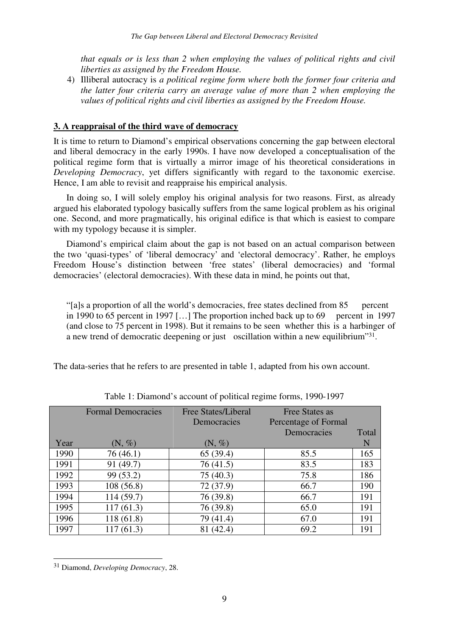*that equals or is less than 2 when employing the values of political rights and civil liberties as assigned by the Freedom House.*

4) Illiberal autocracy is *a political regime form where both the former four criteria and the latter four criteria carry an average value of more than 2 when employing the values of political rights and civil liberties as assigned by the Freedom House.*

## **3. A reappraisal of the third wave of democracy**

It is time to return to Diamond's empirical observations concerning the gap between electoral and liberal democracy in the early 1990s. I have now developed a conceptualisation of the political regime form that is virtually a mirror image of his theoretical considerations in *Developing Democracy*, yet differs significantly with regard to the taxonomic exercise. Hence, I am able to revisit and reappraise his empirical analysis.

In doing so, I will solely employ his original analysis for two reasons. First, as already argued his elaborated typology basically suffers from the same logical problem as his original one. Second, and more pragmatically, his original edifice is that which is easiest to compare with my typology because it is simpler.

Diamond's empirical claim about the gap is not based on an actual comparison between the two 'quasi-types' of 'liberal democracy' and 'electoral democracy'. Rather, he employs Freedom House's distinction between 'free states' (liberal democracies) and 'formal democracies' (electoral democracies). With these data in mind, he points out that,

"[a]s a proportion of all the world's democracies, free states declined from 85 percent in 1990 to 65 percent in 1997  $[...]$  The proportion inched back up to 69 percent in 1997 (and close to 75 percent in 1998). But it remains to be seen whether this is a harbinger of a new trend of democratic deepening or just oscillation within a new equilibrium"31.

The data-series that he refers to are presented in table 1, adapted from his own account.

|      | <b>Formal Democracies</b> | <b>Free States/Liberal</b> | Free States as       |       |
|------|---------------------------|----------------------------|----------------------|-------|
|      |                           | Democracies                | Percentage of Formal |       |
|      |                           |                            | Democracies          | Total |
| Year | $(N, \%)$                 | $(N, \%)$                  |                      | N     |
| 1990 | 76 (46.1)                 | 65 (39.4)                  | 85.5                 | 165   |
| 1991 | 91 (49.7)                 | 76 (41.5)                  | 83.5                 | 183   |
| 1992 | 99 (53.2)                 | 75 (40.3)                  | 75.8                 | 186   |
| 1993 | 108(56.8)                 | 72 (37.9)                  | 66.7                 | 190   |
| 1994 | 114 (59.7)                | 76 (39.8)                  | 66.7                 | 191   |
| 1995 | 117(61.3)                 | 76 (39.8)                  | 65.0                 | 191   |
| 1996 | 118 (61.8)                | 79 (41.4)                  | 67.0                 | 191   |
| 1997 | 117 (61.3)                | (42.4)                     | 69.2                 | 191   |

Table 1: Diamond's account of political regime forms, 1990-1997

<sup>31</sup> Diamond, *Developing Democracy*, 28.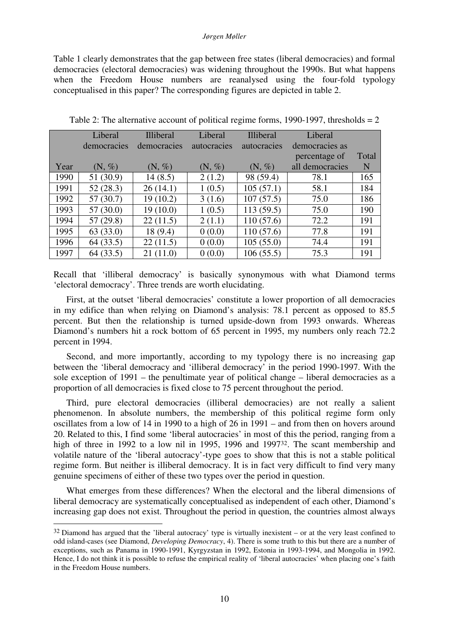#### *Jørgen Møller*

Table 1 clearly demonstrates that the gap between free states (liberal democracies) and formal democracies (electoral democracies) was widening throughout the 1990s. But what happens when the Freedom House numbers are reanalysed using the four-fold typology conceptualised in this paper? The corresponding figures are depicted in table 2.

|      | Liberal     | <b>Illiberal</b> | Liberal            | <b>Illiberal</b> | Liberal         |       |
|------|-------------|------------------|--------------------|------------------|-----------------|-------|
|      | democracies | democracies      | <i>autocracies</i> | autocracies      | democracies as  |       |
|      |             |                  |                    |                  | percentage of   | Total |
| Year | $(N, \%)$   | $(N, \%)$        | $(N, \%)$          | $(N, \%)$        | all democracies | N     |
| 1990 | 51 (30.9)   | 14(8.5)          | 2(1.2)             | 98 (59.4)        | 78.1            | 165   |
| 1991 | 52(28.3)    | 26(14.1)         | 1(0.5)             | 105(57.1)        | 58.1            | 184   |
| 1992 | 57(30.7)    | 19(10.2)         | 3(1.6)             | 107(57.5)        | 75.0            | 186   |
| 1993 | 57(30.0)    | 19(10.0)         | 1(0.5)             | 113(59.5)        | 75.0            | 190   |
| 1994 | 57(29.8)    | 22(11.5)         | 2(1.1)             | 110(57.6)        | 72.2            | 191   |
| 1995 | 63(33.0)    | 18(9.4)          | 0(0.0)             | 110 (57.6)       | 77.8            | 191   |
| 1996 | 64(33.5)    | 22(11.5)         | 0(0.0)             | 105(55.0)        | 74.4            | 191   |
| 1997 | 64(33.5)    | 21(11.0)         | 0(0.0)             | 106(55.5)        | 75.3            | 191   |

Table 2: The alternative account of political regime forms, 1990-1997, thresholds  $= 2$ 

Recall that 'illiberal democracy' is basically synonymous with what Diamond terms 'electoral democracy'. Three trends are worth elucidating.

First, at the outset 'liberal democracies' constitute a lower proportion of all democracies in my edifice than when relying on Diamond's analysis: 78.1 percent as opposed to 85.5 percent. But then the relationship is turned upside-down from 1993 onwards. Whereas Diamond's numbers hit a rock bottom of 65 percent in 1995, my numbers only reach 72.2 percent in 1994.

Second, and more importantly, according to my typology there is no increasing gap between the 'liberal democracy and 'illiberal democracy' in the period 1990-1997. With the sole exception of 1991 – the penultimate year of political change – liberal democracies as a proportion of all democracies is fixed close to 75 percent throughout the period.

Third, pure electoral democracies (illiberal democracies) are not really a salient phenomenon. In absolute numbers, the membership of this political regime form only oscillates from a low of 14 in 1990 to a high of 26 in 1991 – and from then on hovers around 20. Related to this, I find some 'liberal autocracies' in most of this the period, ranging from a high of three in 1992 to a low nil in 1995, 1996 and 1997<sup>32</sup>. The scant membership and volatile nature of the 'liberal autocracy'-type goes to show that this is not a stable political regime form. But neither is illiberal democracy. It is in fact very difficult to find very many genuine specimens of either of these two types over the period in question.

What emerges from these differences? When the electoral and the liberal dimensions of liberal democracy are systematically conceptualised as independent of each other, Diamond's increasing gap does not exist. Throughout the period in question, the countries almost always

<sup>32</sup> Diamond has argued that the 'liberal autocracy' type is virtually inexistent – or at the very least confined to odd island-cases (see Diamond, *Developing Democracy*, 4). There is some truth to this but there are a number of exceptions, such as Panama in 1990-1991, Kyrgyzstan in 1992, Estonia in 1993-1994, and Mongolia in 1992. Hence, I do not think it is possible to refuse the empirical reality of 'liberal autocracies' when placing one's faith in the Freedom House numbers.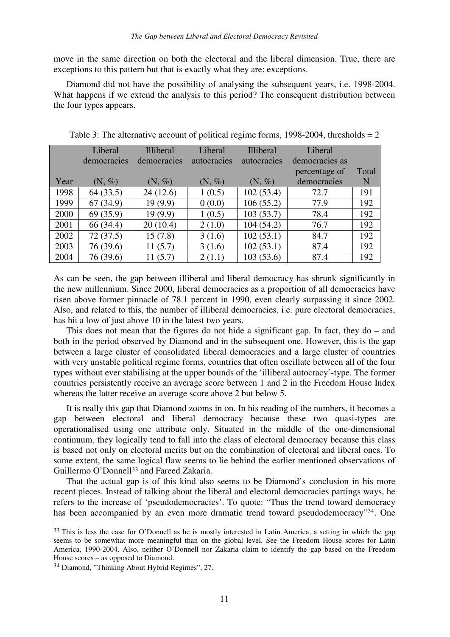move in the same direction on both the electoral and the liberal dimension. True, there are exceptions to this pattern but that is exactly what they are: exceptions.

Diamond did not have the possibility of analysing the subsequent years, i.e. 1998-2004. What happens if we extend the analysis to this period? The consequent distribution between the four types appears.

|      | Liberal            | <b>Illiberal</b> | Liberal     | <b>Illiberal</b> | Liberal        |       |
|------|--------------------|------------------|-------------|------------------|----------------|-------|
|      | democracies        | democracies      | autocracies | autocracies      | democracies as |       |
|      |                    |                  |             |                  | percentage of  | Total |
| Year | $(N, \mathcal{C})$ | $(N, \%)$        | $(N, \%)$   | $(N, \%)$        | democracies    | N     |
| 1998 | 64(33.5)           | 24(12.6)         | 1(0.5)      | 102(53.4)        | 72.7           | 191   |
| 1999 | 67(34.9)           | 19(9.9)          | 0(0.0)      | 106(55.2)        | 77.9           | 192   |
| 2000 | 69 (35.9)          | 19(9.9)          | 1(0.5)      | 103(53.7)        | 78.4           | 192   |
| 2001 | 66 (34.4)          | 20(10.4)         | 2(1.0)      | 104(54.2)        | 76.7           | 192   |
| 2002 | 72(37.5)           | 15(7.8)          | 3(1.6)      | 102(53.1)        | 84.7           | 192   |
| 2003 | 76 (39.6)          | 11(5.7)          | 3(1.6)      | 102(53.1)        | 87.4           | 192   |
| 2004 | 76 (39.6)          | 11(5.7)          | 2(1.1)      | 103(53.6)        | 87.4           | 192   |

Table 3: The alternative account of political regime forms,  $1998-2004$ , thresholds = 2

As can be seen, the gap between illiberal and liberal democracy has shrunk significantly in the new millennium. Since 2000, liberal democracies as a proportion of all democracies have risen above former pinnacle of 78.1 percent in 1990, even clearly surpassing it since 2002. Also, and related to this, the number of illiberal democracies, i.e. pure electoral democracies, has hit a low of just above 10 in the latest two years.

This does not mean that the figures do not hide a significant gap. In fact, they do – and both in the period observed by Diamond and in the subsequent one. However, this is the gap between a large cluster of consolidated liberal democracies and a large cluster of countries with very unstable political regime forms, countries that often oscillate between all of the four types without ever stabilising at the upper bounds of the 'illiberal autocracy'-type. The former countries persistently receive an average score between 1 and 2 in the Freedom House Index whereas the latter receive an average score above 2 but below 5.

 It is really this gap that Diamond zooms in on. In his reading of the numbers, it becomes a gap between electoral and liberal democracy because these two quasi-types are operationalised using one attribute only. Situated in the middle of the one-dimensional continuum, they logically tend to fall into the class of electoral democracy because this class is based not only on electoral merits but on the combination of electoral and liberal ones. To some extent, the same logical flaw seems to lie behind the earlier mentioned observations of Guillermo O'Donnell<sup>33</sup> and Fareed Zakaria.

 That the actual gap is of this kind also seems to be Diamond's conclusion in his more recent pieces. Instead of talking about the liberal and electoral democracies partings ways, he refers to the increase of 'pseudodemocracies'. To quote: "Thus the trend toward democracy has been accompanied by an even more dramatic trend toward pseudodemocracy"<sup>34</sup>. One

<sup>&</sup>lt;sup>33</sup> This is less the case for O'Donnell as he is mostly interested in Latin America, a setting in which the gap seems to be somewhat more meaningful than on the global level. See the Freedom House scores for Latin America, 1990-2004. Also, neither O'Donnell nor Zakaria claim to identify the gap based on the Freedom House scores – as opposed to Diamond.

<sup>34</sup> Diamond, "Thinking About Hybrid Regimes", 27.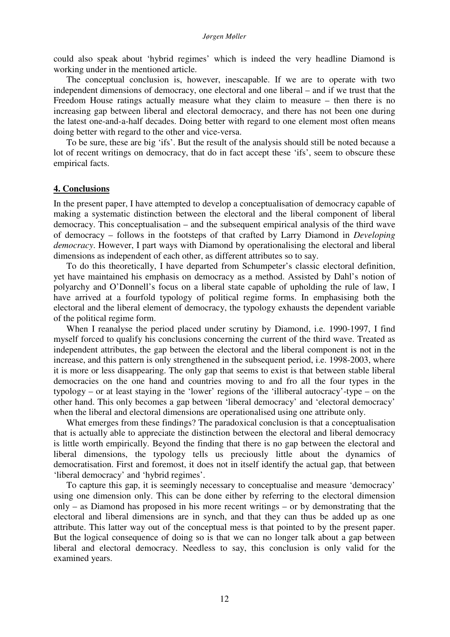could also speak about 'hybrid regimes' which is indeed the very headline Diamond is working under in the mentioned article.

The conceptual conclusion is, however, inescapable. If we are to operate with two independent dimensions of democracy, one electoral and one liberal – and if we trust that the Freedom House ratings actually measure what they claim to measure – then there is no increasing gap between liberal and electoral democracy, and there has not been one during the latest one-and-a-half decades. Doing better with regard to one element most often means doing better with regard to the other and vice-versa.

To be sure, these are big 'ifs'. But the result of the analysis should still be noted because a lot of recent writings on democracy, that do in fact accept these 'ifs', seem to obscure these empirical facts.

### **4. Conclusions**

In the present paper, I have attempted to develop a conceptualisation of democracy capable of making a systematic distinction between the electoral and the liberal component of liberal democracy. This conceptualisation – and the subsequent empirical analysis of the third wave of democracy – follows in the footsteps of that crafted by Larry Diamond in *Developing democracy*. However, I part ways with Diamond by operationalising the electoral and liberal dimensions as independent of each other, as different attributes so to say.

 To do this theoretically, I have departed from Schumpeter's classic electoral definition, yet have maintained his emphasis on democracy as a method. Assisted by Dahl's notion of polyarchy and O'Donnell's focus on a liberal state capable of upholding the rule of law, I have arrived at a fourfold typology of political regime forms. In emphasising both the electoral and the liberal element of democracy, the typology exhausts the dependent variable of the political regime form.

 When I reanalyse the period placed under scrutiny by Diamond, i.e. 1990-1997, I find myself forced to qualify his conclusions concerning the current of the third wave. Treated as independent attributes, the gap between the electoral and the liberal component is not in the increase, and this pattern is only strengthened in the subsequent period, i.e. 1998-2003, where it is more or less disappearing. The only gap that seems to exist is that between stable liberal democracies on the one hand and countries moving to and fro all the four types in the typology – or at least staying in the 'lower' regions of the 'illiberal autocracy'-type – on the other hand. This only becomes a gap between 'liberal democracy' and 'electoral democracy' when the liberal and electoral dimensions are operationalised using one attribute only.

What emerges from these findings? The paradoxical conclusion is that a conceptualisation that is actually able to appreciate the distinction between the electoral and liberal democracy is little worth empirically. Beyond the finding that there is no gap between the electoral and liberal dimensions, the typology tells us preciously little about the dynamics of democratisation. First and foremost, it does not in itself identify the actual gap, that between 'liberal democracy' and 'hybrid regimes'.

To capture this gap, it is seemingly necessary to conceptualise and measure 'democracy' using one dimension only. This can be done either by referring to the electoral dimension only – as Diamond has proposed in his more recent writings – or by demonstrating that the electoral and liberal dimensions are in synch, and that they can thus be added up as one attribute. This latter way out of the conceptual mess is that pointed to by the present paper. But the logical consequence of doing so is that we can no longer talk about a gap between liberal and electoral democracy. Needless to say, this conclusion is only valid for the examined years.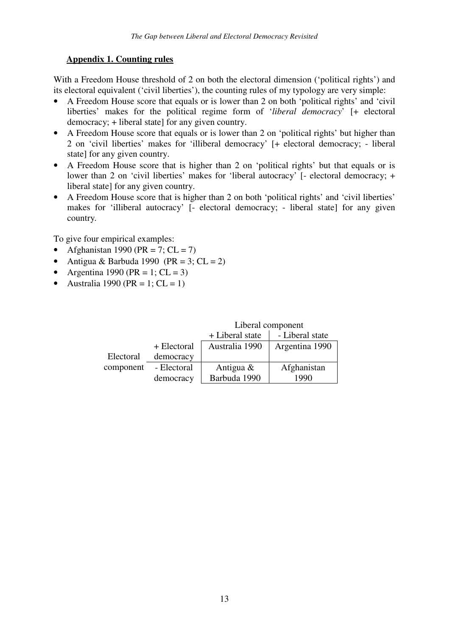## **Appendix 1. Counting rules**

With a Freedom House threshold of 2 on both the electoral dimension ('political rights') and its electoral equivalent ('civil liberties'), the counting rules of my typology are very simple:

- A Freedom House score that equals or is lower than 2 on both 'political rights' and 'civil liberties' makes for the political regime form of '*liberal democracy*' [+ electoral democracy; + liberal state] for any given country.
- A Freedom House score that equals or is lower than 2 on 'political rights' but higher than 2 on 'civil liberties' makes for 'illiberal democracy' [+ electoral democracy; - liberal state] for any given country.
- A Freedom House score that is higher than 2 on 'political rights' but that equals or is lower than 2 on 'civil liberties' makes for 'liberal autocracy' [- electoral democracy; + liberal state] for any given country.
- A Freedom House score that is higher than 2 on both 'political rights' and 'civil liberties' makes for 'illiberal autocracy' [- electoral democracy; - liberal state] for any given country*.*

To give four empirical examples:

- Afghanistan 1990 (PR = 7;  $CL = 7$ )
- Antigua & Barbuda 1990 (PR = 3;  $CL = 2$ )
- Argentina 1990 (PR = 1;  $CL = 3$ )
- Australia 1990 ( $PR = 1$ ;  $CL = 1$ )

|           |             | Liberal component                  |                |  |
|-----------|-------------|------------------------------------|----------------|--|
|           |             | + Liberal state<br>- Liberal state |                |  |
|           | + Electoral | Australia 1990                     | Argentina 1990 |  |
| Electoral | democracy   |                                    |                |  |
| component | - Electoral | Antigua &                          | Afghanistan    |  |
|           | democracy   | Barbuda 1990                       | 1990           |  |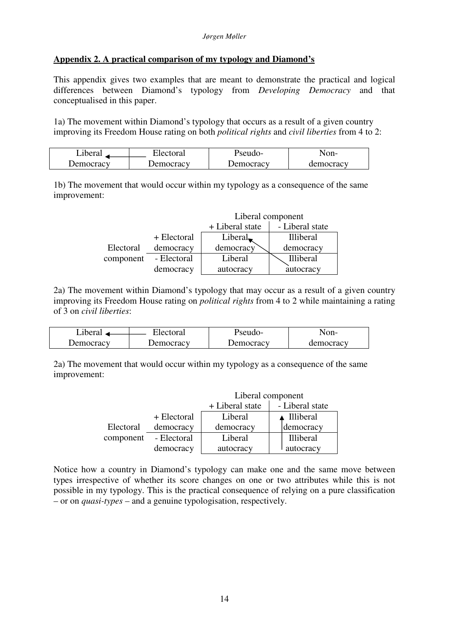## **Appendix 2. A practical comparison of my typology and Diamond's**

This appendix gives two examples that are meant to demonstrate the practical and logical differences between Diamond's typology from *Developing Democracy* and that conceptualised in this paper.

1a) The movement within Diamond's typology that occurs as a result of a given country improving its Freedom House rating on both *political rights* and *civil liberties* from 4 to 2:

| L1beral   | ∹lectoral | <b>P</b> seudo- | Non-      |
|-----------|-----------|-----------------|-----------|
| Jemocracy | Jemocracy | Democracy       | democracy |

1b) The movement that would occur within my typology as a consequence of the same improvement:

|           |             | Liberal component                  |                  |  |
|-----------|-------------|------------------------------------|------------------|--|
|           |             | - Liberal state<br>+ Liberal state |                  |  |
|           | + Electoral | Liberal $\blacksquare$             | <b>Illiberal</b> |  |
| Electoral | democracy   | democracy                          | democracy        |  |
| component | - Electoral | Liberal                            | <b>Illiberal</b> |  |
|           | democracy   | autocracy                          | autocracy        |  |

2a) The movement within Diamond's typology that may occur as a result of a given country improving its Freedom House rating on *political rights* from 4 to 2 while maintaining a rating of 3 on *civil liberties*:

| Liberal   | Electoral | Pseudo-   | Non-      |
|-----------|-----------|-----------|-----------|
| Democracy | Democracy | Democracy | democracy |

2a) The movement that would occur within my typology as a consequence of the same improvement:

|           |             | Liberal component                  |                  |  |
|-----------|-------------|------------------------------------|------------------|--|
|           |             | - Liberal state<br>+ Liberal state |                  |  |
|           | + Electoral | Liberal                            | ▲ Illiberal      |  |
| Electoral | democracy   | democracy                          | democracy        |  |
| component | - Electoral | Liberal                            | <b>Illiberal</b> |  |
|           | democracy   | autocracy                          | autocracy        |  |

Notice how a country in Diamond's typology can make one and the same move between types irrespective of whether its score changes on one or two attributes while this is not possible in my typology. This is the practical consequence of relying on a pure classification – or on *quasi-types* – and a genuine typologisation, respectively.